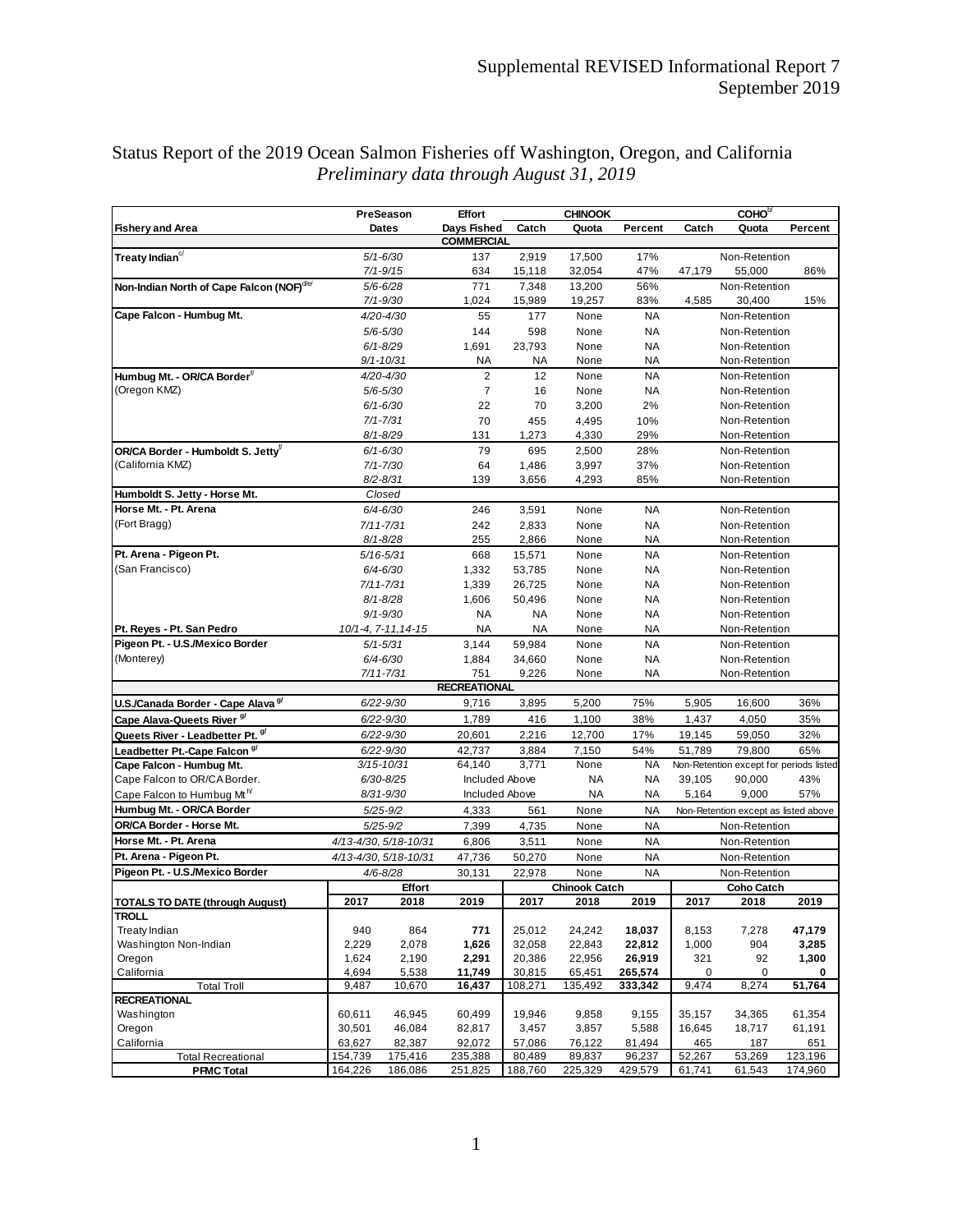|                                                       | PreSeason                         |                       | <b>Effort</b>                                  |                  |                      | <b>CHINOOK</b>         |                                | COHO <sup>b/</sup>                   |                                         |  |
|-------------------------------------------------------|-----------------------------------|-----------------------|------------------------------------------------|------------------|----------------------|------------------------|--------------------------------|--------------------------------------|-----------------------------------------|--|
| <b>Fishery and Area</b>                               |                                   | <b>Dates</b>          | Days Fished                                    | Catch            | Quota                | Percent                | Catch                          | Quota                                | Percent                                 |  |
| <b>COMMERCIAL</b>                                     |                                   |                       |                                                |                  |                      |                        |                                |                                      |                                         |  |
| Treaty Indian $c/$                                    | $5/1 - 6/30$<br>$7/1 - 9/15$      |                       | 137<br>634                                     | 2,919<br>15,118  | 17,500<br>32,054     | 17%<br>47%             | Non-Retention<br>47,179        |                                      | 86%                                     |  |
| Non-Indian North of Cape Falcon (NOF) <sup>de/</sup>  |                                   | $5/6 - 6/28$          | 771                                            | 7,348            | 13,200               | 56%                    |                                | 55,000<br>Non-Retention              |                                         |  |
|                                                       |                                   | $7/1 - 9/30$          | 1,024                                          | 15,989           | 19,257               | 83%                    | 4,585                          | 30,400                               | 15%                                     |  |
| Cape Falcon - Humbug Mt.                              |                                   | 4/20-4/30             | 55                                             | 177              | None                 | <b>NA</b>              |                                | Non-Retention                        |                                         |  |
|                                                       | $5/6 - 5/30$                      |                       | 144                                            | 598              | None                 | <b>NA</b>              | Non-Retention                  |                                      |                                         |  |
|                                                       | $6/1 - 8/29$<br>9/1-10/31         |                       | 1,691                                          | 23,793           | None                 | NA                     |                                | Non-Retention                        |                                         |  |
|                                                       |                                   |                       | ΝA                                             | ΝA               | None                 | NA                     |                                | Non-Retention                        |                                         |  |
| Humbug Mt. - OR/CA Border <sup>f/</sup>               | 4/20-4/30                         |                       | $\overline{2}$                                 | 12               | None                 | <b>NA</b>              | Non-Retention                  |                                      |                                         |  |
| (Oregon KMZ)                                          | $5/6 - 5/30$                      |                       | 7                                              | 16               | None                 | NA                     |                                | Non-Retention                        |                                         |  |
|                                                       | $6/1 - 6/30$                      |                       | 22                                             | 70               | 3,200                | 2%                     |                                | Non-Retention                        |                                         |  |
|                                                       |                                   | $7/1 - 7/31$          | 70                                             | 455              | 4,495                | 10%                    |                                | Non-Retention                        |                                         |  |
|                                                       |                                   | 8/1-8/29              | 131                                            | 1,273            | 4,330                | 29%                    |                                | Non-Retention                        |                                         |  |
| OR/CA Border - Humboldt S. Jetty <sup>f/</sup>        | $6/1 - 6/30$                      |                       | 79                                             | 695              | 2,500                | 28%                    |                                | Non-Retention                        |                                         |  |
| (California KMZ)                                      |                                   | $7/1 - 7/30$          | 64                                             | 1,486            | 3,997                | 37%                    |                                | Non-Retention                        |                                         |  |
|                                                       |                                   | $8/2 - 8/31$          | 139                                            | 3,656            | 4,293                | 85%                    |                                | Non-Retention                        |                                         |  |
| Humboldt S. Jetty - Horse Mt.                         |                                   | Closed                |                                                |                  |                      |                        |                                |                                      |                                         |  |
| Horse Mt. - Pt. Arena                                 | $6/4 - 6/30$                      |                       | 246                                            | 3,591            | None                 | NA                     | Non-Retention                  |                                      |                                         |  |
| (Fort Bragg)                                          |                                   | $7/11 - 7/31$         | 242                                            | 2,833            | None                 | <b>NA</b><br>NA        |                                | Non-Retention                        |                                         |  |
| Pt. Arena - Pigeon Pt.                                |                                   | $8/1 - 8/28$          | 255<br>668                                     | 2,866            | None<br>None         | <b>NA</b>              |                                | Non-Retention                        |                                         |  |
| (San Francisco)                                       | $5/16 - 5/31$                     |                       | 1,332                                          | 15,571<br>53,785 | None                 | NA                     | Non-Retention                  |                                      |                                         |  |
|                                                       | $6/4 - 6/30$<br>$7/11 - 7/31$     |                       | 1,339                                          | 26,725           | None                 | <b>NA</b>              | Non-Retention<br>Non-Retention |                                      |                                         |  |
|                                                       |                                   | $8/1 - 8/28$          | 1,606                                          | 50,496           | None                 | <b>NA</b>              |                                | Non-Retention                        |                                         |  |
|                                                       |                                   | $9/1 - 9/30$          | <b>NA</b>                                      | NA               | None                 | NA                     |                                | Non-Retention                        |                                         |  |
| Pt. Reyes - Pt. San Pedro                             | $10/1 - 4$ , $7 - 11$ , $14 - 15$ |                       | ΝA                                             | NA               | None                 | NA                     | Non-Retention                  |                                      |                                         |  |
| Pigeon Pt. - U.S./Mexico Border                       | $5/1 - 5/31$                      |                       | 3,144                                          | 59,984           | None                 | <b>NA</b>              | Non-Retention                  |                                      |                                         |  |
| (Monterey)                                            | $6/4 - 6/30$                      |                       | 1,884                                          | 34,660           | None                 | <b>NA</b>              | Non-Retention                  |                                      |                                         |  |
|                                                       | 7/11-7/31                         |                       | 751                                            | 9,226            | None                 | NA                     | Non-Retention                  |                                      |                                         |  |
| <b>RECREATIONAL</b>                                   |                                   |                       |                                                |                  |                      |                        |                                |                                      |                                         |  |
| U.S./Canada Border - Cape Alava 9/                    | 6/22-9/30                         |                       | 9,716                                          | 3,895            | 5,200                | 75%                    | 5,905                          | 16,600                               | 36%                                     |  |
| Cape Alava-Queets River <sup>9/</sup>                 | $6/22 - 9/30$                     |                       | 1,789                                          | 416              | 1,100                | 38%                    | 1,437                          | 4,050                                | 35%                                     |  |
| Queets River - Leadbetter Pt. 9/                      | $6/22 - 9/30$                     |                       | 20,601                                         | 2,216            | 12,700               | 17%                    | 19,145                         | 59,050                               | 32%                                     |  |
| Leadbetter Pt.-Cape Falcon <sup>9/</sup>              | $6/22 - 9/30$                     |                       | 42,737                                         | 3,884            | 7,150                | 54%                    | 51,789                         | 79,800                               | 65%                                     |  |
| Cape Falcon - Humbug Mt.                              | $3/15 - 10/31$                    |                       | 64,140<br>3,771                                |                  | None                 | NA                     |                                |                                      | Non-Retention except for periods listed |  |
| Cape Falcon to OR/CA Border.                          | $6/30 - 8/25$                     |                       | <b>Included Above</b><br><b>Included Above</b> |                  | ΝA                   | <b>NA</b>              | 39,105                         | 90,000                               | 43%                                     |  |
| Cape Falcon to Humbug Mt <sup>h</sup>                 | 8/31-9/30<br>$5/25 - 9/2$         |                       |                                                |                  | NA                   | ΝA                     | 5,164                          | 9,000                                | 57%                                     |  |
| Humbug Mt. - OR/CA Border<br>OR/CA Border - Horse Mt. | $5/25 - 9/2$                      |                       | 4,333                                          | 561              | None                 | <b>NA</b><br><b>NA</b> |                                | Non-Retention except as listed above |                                         |  |
| Horse Mt. - Pt. Arena                                 | 4/13-4/30, 5/18-10/31             |                       | 7,399                                          | 4,735            | None                 | <b>NA</b>              |                                | Non-Retention                        |                                         |  |
| Pt. Arena - Pigeon Pt.                                |                                   |                       | 6,806                                          | 3,511            | None                 | NA                     |                                | Non-Retention                        |                                         |  |
| Pigeon Pt. - U.S./Mexico Border                       |                                   | 4/13-4/30, 5/18-10/31 | 47,736<br>30,131                               | 50,270<br>22,978 | None<br>None         | <b>NA</b>              |                                | Non-Retention                        |                                         |  |
|                                                       | 4/6-8/28<br><b>Effort</b>         |                       |                                                |                  | <b>Chinook Catch</b> |                        | Non-Retention<br>Coho Catch    |                                      |                                         |  |
| <b>TOTALS TO DATE (through August)</b>                | 2017                              | 2018                  | 2019                                           | 2017             | 2018                 | 2019                   | 2017                           | 2018                                 | 2019                                    |  |
| <b>TROLL</b>                                          |                                   |                       |                                                |                  |                      |                        |                                |                                      |                                         |  |
| <b>Treaty Indian</b>                                  | 940                               | 864                   | 771                                            | 25,012           | 24,242               | 18,037                 | 8,153                          | 7,278                                | 47,179                                  |  |
| Washington Non-Indian                                 | 2,229                             | 2,078                 | 1,626                                          | 32,058           | 22,843               | 22,812                 | 1,000                          | 904                                  | 3,285                                   |  |
| Oregon                                                | 1,624                             | 2,190                 | 2,291                                          | 20,386           | 22,956               | 26,919                 | 321                            | 92                                   | 1,300                                   |  |
| California                                            | 4,694                             | 5,538                 | 11,749                                         | 30,815           | 65,451               | 265,574                | 0                              | 0                                    | 0                                       |  |
| <b>Total Troll</b><br><b>RECREATIONAL</b>             | 9,487                             | 10,670                | 16,437                                         | 108,271          | 135,492              | 333,342                | 9,474                          | 8,274                                | 51,764                                  |  |
| Washington                                            | 60,611                            | 46,945                | 60,499                                         | 19,946           | 9,858                | 9,155                  | 35,157                         | 34,365                               | 61,354                                  |  |
| Oregon                                                | 30,501                            | 46,084                | 82,817                                         | 3,457            | 3,857                | 5,588                  | 16,645                         | 18,717                               | 61,191                                  |  |
| California                                            | 63,627                            | 82,387                | 92,072                                         | 57,086           | 76,122               | 81,494                 | 465                            | 187                                  | 651                                     |  |
| <b>Total Recreational</b>                             | 154,739                           | 175,416               | 235,388                                        | 80,489           | 89,837               | 96,237                 | 52,267                         | 53,269                               | 123,196                                 |  |
| <b>PFMC Total</b>                                     | 164,226                           | 186,086               | 251,825                                        | 188,760          | 225,329              | 429,579                | 61,741                         | 61,543                               | 174,960                                 |  |

## Status Report of the 2019 Ocean Salmon Fisheries off Washington, Oregon, and California *Preliminary data through August 31, 2019*